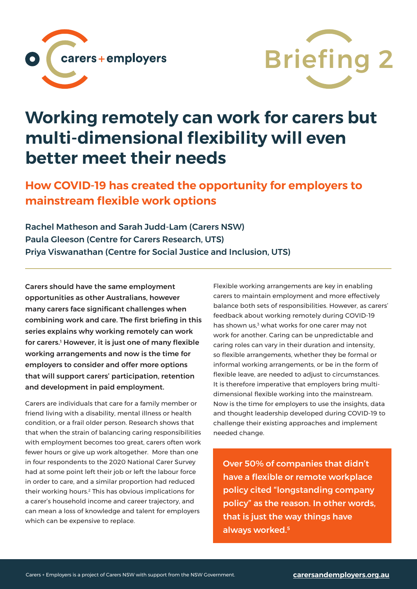



## **Working remotely can work for carers but multi-dimensional flexibility will even better meet their needs**

**How COVID-19 has created the opportunity for employers to mainstream flexible work options**

Rachel Matheson and Sarah Judd-Lam (Carers NSW) Paula Gleeson (Centre for Carers Research, UTS) Priya Viswanathan (Centre for Social Justice and Inclusion, UTS)

Carers should have the same employment opportunities as other Australians, however many carers face significant challenges when combining work and care. The first briefing in this series explains why working remotely can work for carers.1 However, it is just one of many flexible working arrangements and now is the time for employers to consider and offer more options that will support carers' participation, retention and development in paid employment.

Carers are individuals that care for a family member or friend living with a disability, mental illness or health condition, or a frail older person. Research shows that that when the strain of balancing caring responsibilities with employment becomes too great, carers often work fewer hours or give up work altogether. More than one in four respondents to the 2020 National Carer Survey had at some point left their job or left the labour force in order to care, and a similar proportion had reduced their working hours.2 This has obvious implications for a carer's household income and career trajectory, and can mean a loss of knowledge and talent for employers which can be expensive to replace.

Flexible working arrangements are key in enabling carers to maintain employment and more effectively balance both sets of responsibilities. However, as carers' feedback about working remotely during COVID-19 has shown us,<sup>3</sup> what works for one carer may not work for another. Caring can be unpredictable and caring roles can vary in their duration and intensity, so flexible arrangements, whether they be formal or informal working arrangements, or be in the form of flexible leave, are needed to adjust to circumstances. It is therefore imperative that employers bring multidimensional flexible working into the mainstream. Now is the time for employers to use the insights, data and thought leadership developed during COVID-19 to challenge their existing approaches and implement needed change.

Over 50% of companies that didn't have a flexible or remote workplace policy cited "longstanding company policy" as the reason. In other words, that is just the way things have always worked.5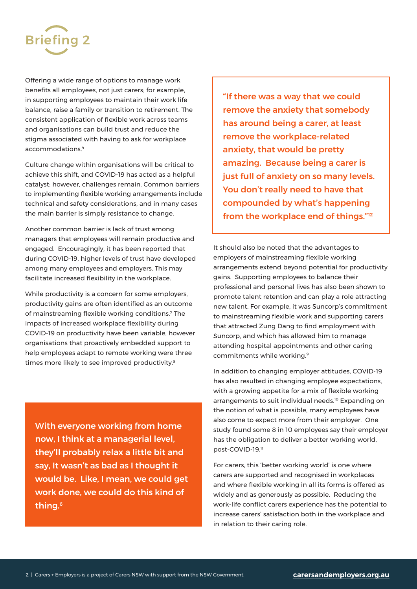

Offering a wide range of options to manage work benefits all employees, not just carers; for example, in supporting employees to maintain their work life balance, raise a family or transition to retirement. The consistent application of flexible work across teams and organisations can build trust and reduce the stigma associated with having to ask for workplace accommodations.4

Culture change within organisations will be critical to achieve this shift, and COVID-19 has acted as a helpful catalyst; however, challenges remain. Common barriers to implementing flexible working arrangements include technical and safety considerations, and in many cases the main barrier is simply resistance to change.

Another common barrier is lack of trust among managers that employees will remain productive and engaged. Encouragingly, it has been reported that during COVID-19, higher levels of trust have developed among many employees and employers. This may facilitate increased flexibility in the workplace.

While productivity is a concern for some employers, productivity gains are often identified as an outcome of mainstreaming flexible working conditions.7 The impacts of increased workplace flexibility during COVID-19 on productivity have been variable, however organisations that proactively embedded support to help employees adapt to remote working were three times more likely to see improved productivity.<sup>8</sup>

With everyone working from home now, I think at a managerial level, they'll probably relax a little bit and say, It wasn't as bad as I thought it would be. Like, I mean, we could get work done, we could do this kind of thing.6

"If there was a way that we could remove the anxiety that somebody has around being a carer, at least remove the workplace-related anxiety, that would be pretty amazing. Because being a carer is just full of anxiety on so many levels. You don't really need to have that compounded by what's happening from the workplace end of things."12

It should also be noted that the advantages to employers of mainstreaming flexible working arrangements extend beyond potential for productivity gains. Supporting employees to balance their professional and personal lives has also been shown to promote talent retention and can play a role attracting new talent. For example, it was Suncorp's commitment to mainstreaming flexible work and supporting carers that attracted Zung Dang to find employment with Suncorp, and which has allowed him to manage attending hospital appointments and other caring commitments while working.9

In addition to changing employer attitudes, COVID-19 has also resulted in changing employee expectations, with a growing appetite for a mix of flexible working arrangements to suit individual needs.<sup>10</sup> Expanding on the notion of what is possible, many employees have also come to expect more from their employer. One study found some 8 in 10 employees say their employer has the obligation to deliver a better working world, post-COVID-19.11

For carers, this 'better working world' is one where carers are supported and recognised in workplaces and where flexible working in all its forms is offered as widely and as generously as possible. Reducing the work-life conflict carers experience has the potential to increase carers' satisfaction both in the workplace and in relation to their caring role.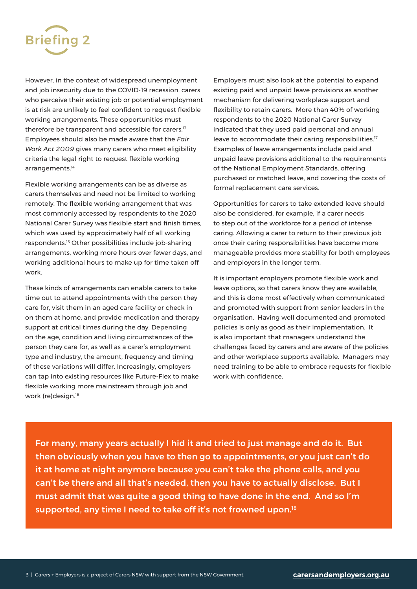

However, in the context of widespread unemployment and job insecurity due to the COVID-19 recession, carers who perceive their existing job or potential employment is at risk are unlikely to feel confident to request flexible working arrangements. These opportunities must therefore be transparent and accessible for carers.<sup>13</sup> Employees should also be made aware that the *Fair Work Act 2009* gives many carers who meet eligibility criteria the legal right to request flexible working arrangements.<sup>14</sup>

Flexible working arrangements can be as diverse as carers themselves and need not be limited to working remotely. The flexible working arrangement that was most commonly accessed by respondents to the 2020 National Carer Survey was flexible start and finish times, which was used by approximately half of all working respondents.15 Other possibilities include job-sharing arrangements, working more hours over fewer days, and working additional hours to make up for time taken off work.

These kinds of arrangements can enable carers to take time out to attend appointments with the person they care for, visit them in an aged care facility or check in on them at home, and provide medication and therapy support at critical times during the day. Depending on the age, condition and living circumstances of the person they care for, as well as a carer's employment type and industry, the amount, frequency and timing of these variations will differ. Increasingly, employers can tap into existing resources like Future-Flex to make flexible working more mainstream through job and work (re)design.16

Employers must also look at the potential to expand existing paid and unpaid leave provisions as another mechanism for delivering workplace support and flexibility to retain carers. More than 40% of working respondents to the 2020 National Carer Survey indicated that they used paid personal and annual leave to accommodate their caring responsibilities.<sup>17</sup> Examples of leave arrangements include paid and unpaid leave provisions additional to the requirements of the National Employment Standards, offering purchased or matched leave, and covering the costs of formal replacement care services.

Opportunities for carers to take extended leave should also be considered, for example, if a carer needs to step out of the workforce for a period of intense caring. Allowing a carer to return to their previous job once their caring responsibilities have become more manageable provides more stability for both employees and employers in the longer term.

It is important employers promote flexible work and leave options, so that carers know they are available, and this is done most effectively when communicated and promoted with support from senior leaders in the organisation. Having well documented and promoted policies is only as good as their implementation. It is also important that managers understand the challenges faced by carers and are aware of the policies and other workplace supports available. Managers may need training to be able to embrace requests for flexible work with confidence.

For many, many years actually I hid it and tried to just manage and do it. But then obviously when you have to then go to appointments, or you just can't do it at home at night anymore because you can't take the phone calls, and you can't be there and all that's needed, then you have to actually disclose. But I must admit that was quite a good thing to have done in the end. And so I'm supported, any time I need to take off it's not frowned upon.<sup>18</sup>